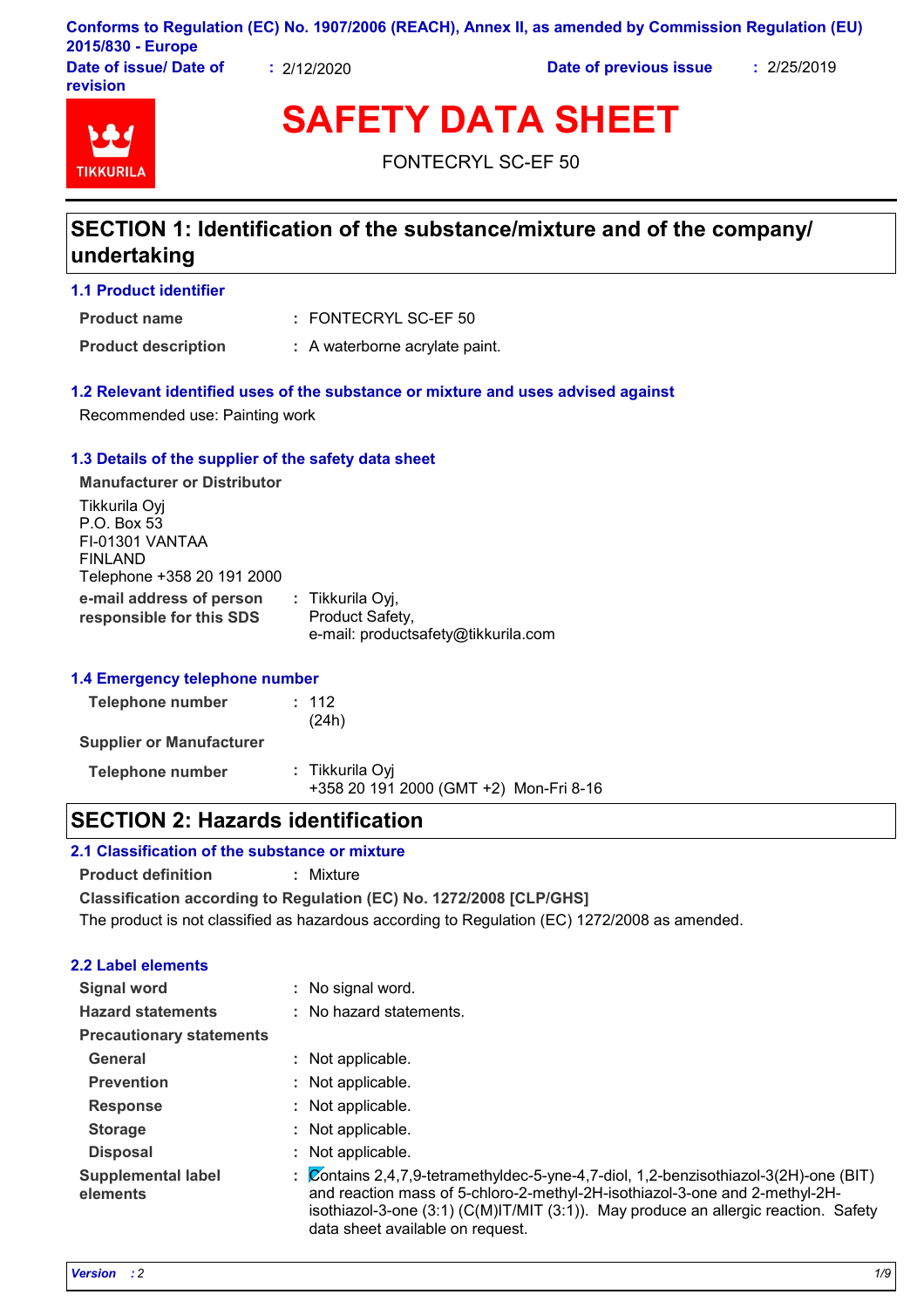|                        |                 | Conforms to Regulation (EC) No. 1907/2006 (REACH), Annex II, as amended by Commission Regulation (EU) |          |
|------------------------|-----------------|-------------------------------------------------------------------------------------------------------|----------|
| 2015/830 - Europe      |                 |                                                                                                       |          |
| Dato of iccup/ Dato of | <b>PULOLUCE</b> | Data of provious issue                                                                                | .2050010 |

**ue/ Date of revision**

**:** 2/12/2020 **Date of previous issue :** 2/25/2019



**SAFETY DATA SHEET**

FONTECRYL SC-EF 50

# **SECTION 1: Identification of the substance/mixture and of the company/ undertaking**

**1.1 Product identifier**

FONTECRYL SC-EF 50 **: Product name**

**Product description :** A waterborne acrylate paint.

## **1.2 Relevant identified uses of the substance or mixture and uses advised against**

Recommended use: Painting work

## **1.3 Details of the supplier of the safety data sheet**

**e-mail address of person responsible for this SDS :** Tikkurila Oyj, Product Safety, e-mail: productsafety@tikkurila.com **Manufacturer or Distributor** Tikkurila Oyj P.O. Box 53 FI-01301 VANTAA FINLAND Telephone +358 20 191 2000

## **1.4 Emergency telephone number**

| Telephone number                | : 112<br>(24h)                                            |
|---------------------------------|-----------------------------------------------------------|
| <b>Supplier or Manufacturer</b> |                                                           |
| Telephone number                | : Tikkurila Oyi<br>+358 20 191 2000 (GMT +2) Mon-Fri 8-16 |

## **SECTION 2: Hazards identification**

## **2.1 Classification of the substance or mixture**

**Product definition :** Mixture

**Classification according to Regulation (EC) No. 1272/2008 [CLP/GHS]**

The product is not classified as hazardous according to Regulation (EC) 1272/2008 as amended.

## **2.2 Label elements**

| <b>Signal word</b>                    | : No signal word.                                                                                                                                                                                                                                                                                 |
|---------------------------------------|---------------------------------------------------------------------------------------------------------------------------------------------------------------------------------------------------------------------------------------------------------------------------------------------------|
| <b>Hazard statements</b>              | : No hazard statements.                                                                                                                                                                                                                                                                           |
| <b>Precautionary statements</b>       |                                                                                                                                                                                                                                                                                                   |
| General                               | : Not applicable.                                                                                                                                                                                                                                                                                 |
| <b>Prevention</b>                     | : Not applicable.                                                                                                                                                                                                                                                                                 |
| <b>Response</b>                       | : Not applicable.                                                                                                                                                                                                                                                                                 |
| <b>Storage</b>                        | : Not applicable.                                                                                                                                                                                                                                                                                 |
| <b>Disposal</b>                       | Not applicable.                                                                                                                                                                                                                                                                                   |
| <b>Supplemental label</b><br>elements | Contains 2,4,7,9-tetramethyldec-5-yne-4,7-diol, 1,2-benzisothiazol-3(2H)-one (BIT)<br>and reaction mass of 5-chloro-2-methyl-2H-isothiazol-3-one and 2-methyl-2H-<br>isothiazol-3-one $(3.1)$ (C(M)IT/MIT $(3.1)$ ). May produce an allergic reaction. Safety<br>data sheet available on request. |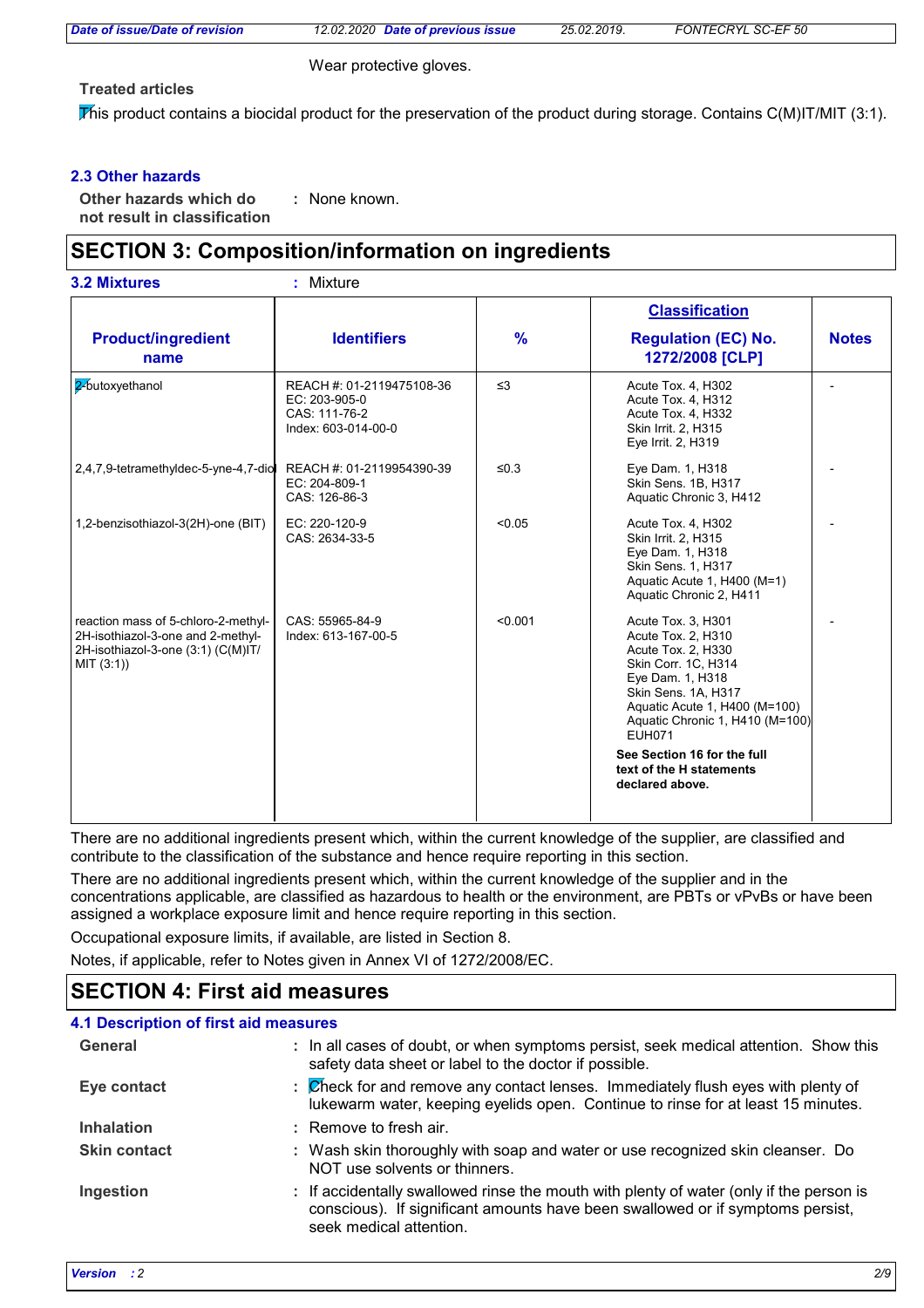*Date of issue/Date of revision 12.02.2020 Date of previous issue 25.02.2019. FONTECRYL SC-EF 50*

Wear protective gloves.

**Treated articles**

This product contains a biocidal product for the preservation of the product during storage. Contains  $C(M)IT/MIT$  (3:1).

## **2.3 Other hazards**

**Other hazards which do : not result in classification** : None known.

# **SECTION 3: Composition/information on ingredients**

|  | <b>3.2 Mixtures</b> |  |
|--|---------------------|--|
|--|---------------------|--|

**3.2 Mixtures :** Mixture

|                                                                                                                              |                                                                                    |               | <b>Classification</b>                                                                                                                                                                                                 |              |
|------------------------------------------------------------------------------------------------------------------------------|------------------------------------------------------------------------------------|---------------|-----------------------------------------------------------------------------------------------------------------------------------------------------------------------------------------------------------------------|--------------|
| <b>Product/ingredient</b><br>name                                                                                            | <b>Identifiers</b>                                                                 | $\frac{9}{6}$ | <b>Regulation (EC) No.</b><br>1272/2008 [CLP]                                                                                                                                                                         | <b>Notes</b> |
| 2 butoxyethanol                                                                                                              | REACH #: 01-2119475108-36<br>EC: 203-905-0<br>CAS: 111-76-2<br>Index: 603-014-00-0 | $\leq$ 3      | Acute Tox. 4, H302<br>Acute Tox. 4, H312<br>Acute Tox. 4, H332<br>Skin Irrit. 2, H315<br>Eve Irrit. 2, H319                                                                                                           |              |
| 2,4,7,9-tetramethyldec-5-yne-4,7-diol                                                                                        | REACH #: 01-2119954390-39<br>EC: 204-809-1<br>CAS: 126-86-3                        | ≤ $0.3$       | Eye Dam. 1, H318<br>Skin Sens. 1B, H317<br>Aquatic Chronic 3, H412                                                                                                                                                    |              |
| 1,2-benzisothiazol-3(2H)-one (BIT)                                                                                           | EC: 220-120-9<br>CAS: 2634-33-5                                                    | < 0.05        | Acute Tox. 4, H302<br>Skin Irrit. 2, H315<br>Eye Dam. 1, H318<br>Skin Sens. 1, H317<br>Aquatic Acute 1, H400 (M=1)<br>Aquatic Chronic 2, H411                                                                         |              |
| reaction mass of 5-chloro-2-methyl-<br>2H-isothiazol-3-one and 2-methyl-<br>2H-isothiazol-3-one (3:1) (C(M)IT/<br>MIT (3:1)) | CAS: 55965-84-9<br>Index: 613-167-00-5                                             | < 0.001       | Acute Tox. 3, H301<br>Acute Tox. 2, H310<br>Acute Tox. 2, H330<br>Skin Corr. 1C, H314<br>Eye Dam. 1, H318<br>Skin Sens. 1A, H317<br>Aquatic Acute 1, H400 (M=100)<br>Aquatic Chronic 1, H410 (M=100)<br><b>EUH071</b> |              |
|                                                                                                                              |                                                                                    |               | See Section 16 for the full<br>text of the H statements<br>declared above.                                                                                                                                            |              |

There are no additional ingredients present which, within the current knowledge of the supplier, are classified and contribute to the classification of the substance and hence require reporting in this section.

There are no additional ingredients present which, within the current knowledge of the supplier and in the concentrations applicable, are classified as hazardous to health or the environment, are PBTs or vPvBs or have been assigned a workplace exposure limit and hence require reporting in this section.

Occupational exposure limits, if available, are listed in Section 8.

Notes, if applicable, refer to Notes given in Annex VI of 1272/2008/EC.

## **SECTION 4: First aid measures**

### **4.1 Description of first aid measures**

| General             | : In all cases of doubt, or when symptoms persist, seek medical attention. Show this<br>safety data sheet or label to the doctor if possible.                                                        |
|---------------------|------------------------------------------------------------------------------------------------------------------------------------------------------------------------------------------------------|
| Eye contact         | $\mathbb Z$ heck for and remove any contact lenses. Immediately flush eyes with plenty of<br>lukewarm water, keeping eyelids open. Continue to rinse for at least 15 minutes.                        |
| <b>Inhalation</b>   | : Remove to fresh air.                                                                                                                                                                               |
| <b>Skin contact</b> | : Wash skin thoroughly with soap and water or use recognized skin cleanser. Do<br>NOT use solvents or thinners.                                                                                      |
| Ingestion           | : If accidentally swallowed rinse the mouth with plenty of water (only if the person is<br>conscious). If significant amounts have been swallowed or if symptoms persist,<br>seek medical attention. |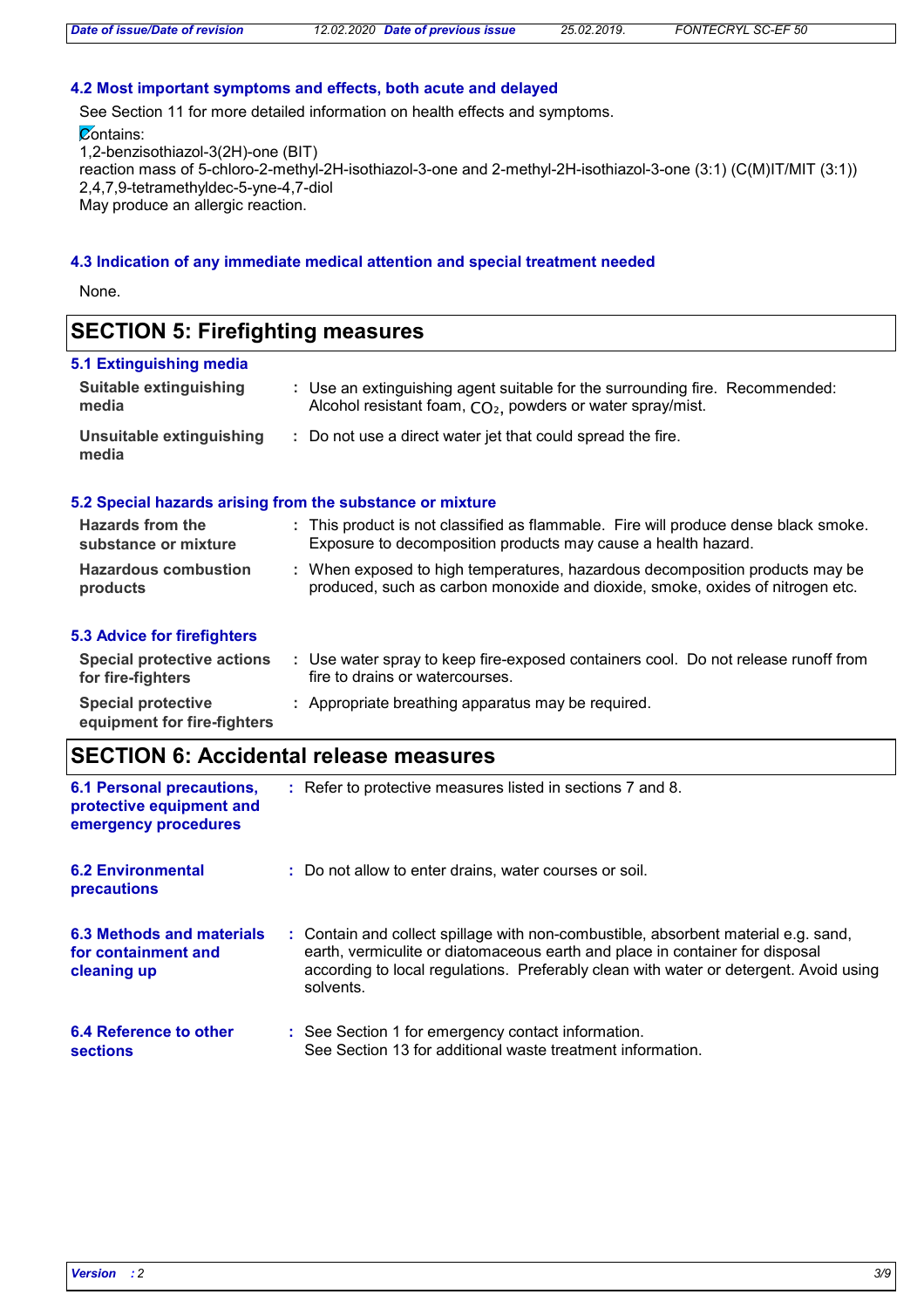### **4.2 Most important symptoms and effects, both acute and delayed**

See Section 11 for more detailed information on health effects and symptoms.

**Contains:** 

1,2-benzisothiazol-3(2H)-one (BIT)

reaction mass of 5-chloro-2-methyl-2H-isothiazol-3-one and 2-methyl-2H-isothiazol-3-one (3:1) (C(M)IT/MIT (3:1)) 2,4,7,9-tetramethyldec-5-yne-4,7-diol May produce an allergic reaction.

#### **4.3 Indication of any immediate medical attention and special treatment needed**

None.

## **SECTION 5: Firefighting measures**

#### **Hazardous combustion products Hazards from the substance or mixture** When exposed to high temperatures, hazardous decomposition products may be **:** produced, such as carbon monoxide and dioxide, smoke, oxides of nitrogen etc. This product is not classified as flammable. Fire will produce dense black smoke. **:** Exposure to decomposition products may cause a health hazard. Use an extinguishing agent suitable for the surrounding fire. Recommended: **:** Alcohol resistant foam, CO<sub>2</sub>, powders or water spray/mist. **5.1 Extinguishing media** Do not use a direct water jet that could spread the fire. **: Suitable extinguishing media Unsuitable extinguishing media 5.2 Special hazards arising from the substance or mixture**

## **5.3 Advice for firefighters**

| Special protective actions<br>for fire-fighters          | Use water spray to keep fire-exposed containers cool. Do not release runoff from<br>fire to drains or watercourses. |
|----------------------------------------------------------|---------------------------------------------------------------------------------------------------------------------|
| <b>Special protective</b><br>equipment for fire-fighters | : Appropriate breathing apparatus may be required.                                                                  |

## **SECTION 6: Accidental release measures**

| <b>6.1 Personal precautions,</b><br>protective equipment and<br>emergency procedures | : Refer to protective measures listed in sections 7 and 8.                                                                                                                                                                                                               |
|--------------------------------------------------------------------------------------|--------------------------------------------------------------------------------------------------------------------------------------------------------------------------------------------------------------------------------------------------------------------------|
| <b>6.2 Environmental</b><br>precautions                                              | : Do not allow to enter drains, water courses or soil.                                                                                                                                                                                                                   |
| 6.3 Methods and materials<br>for containment and<br>cleaning up                      | : Contain and collect spillage with non-combustible, absorbent material e.g. sand,<br>earth, vermiculite or diatomaceous earth and place in container for disposal<br>according to local regulations. Preferably clean with water or detergent. Avoid using<br>solvents. |
| 6.4 Reference to other<br>sections                                                   | : See Section 1 for emergency contact information.<br>See Section 13 for additional waste treatment information.                                                                                                                                                         |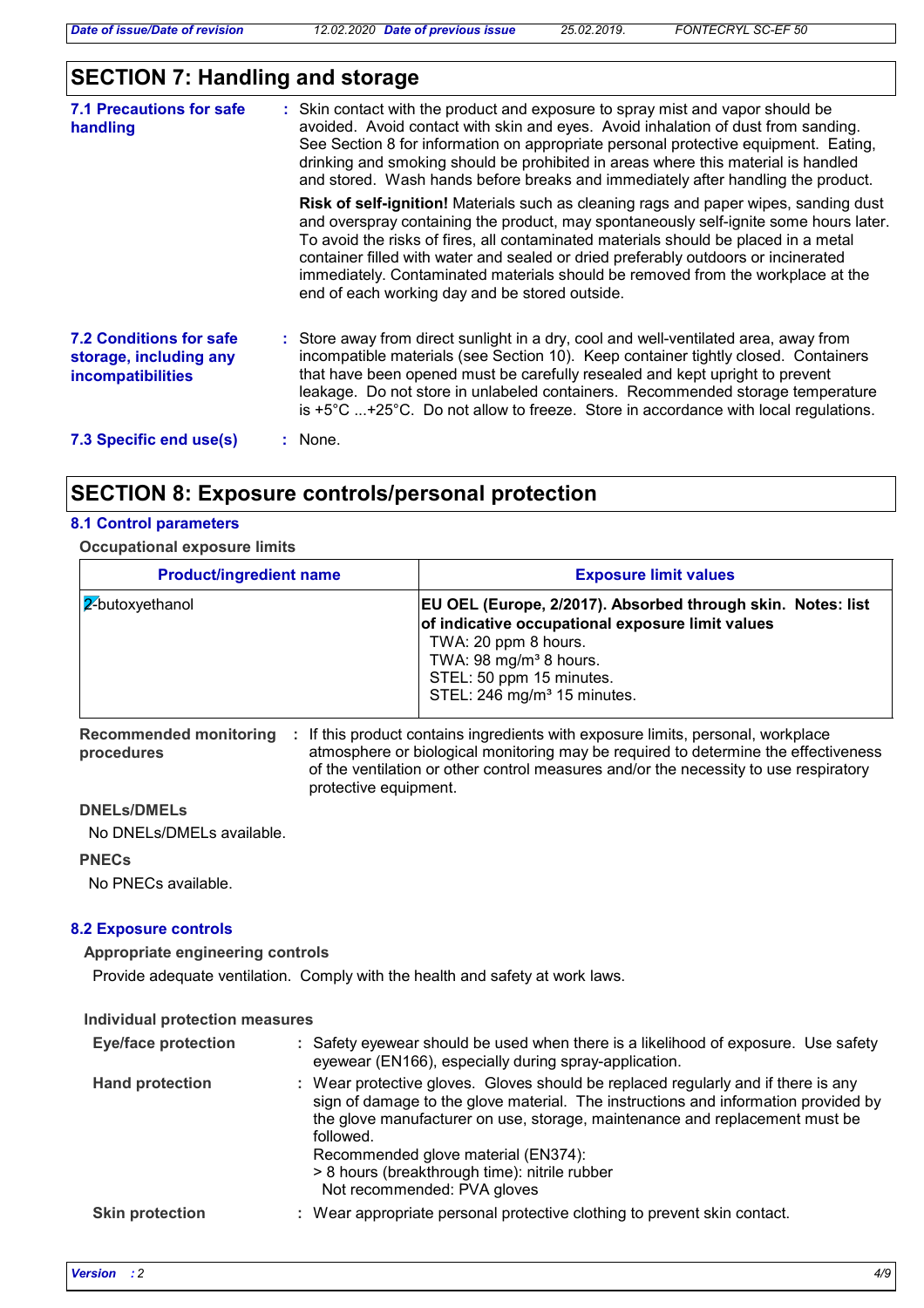# **SECTION 7: Handling and storage**

| <b>7.1 Precautions for safe</b><br>handling                                   | : Skin contact with the product and exposure to spray mist and vapor should be<br>avoided. Avoid contact with skin and eyes. Avoid inhalation of dust from sanding.<br>See Section 8 for information on appropriate personal protective equipment. Eating,<br>drinking and smoking should be prohibited in areas where this material is handled<br>and stored. Wash hands before breaks and immediately after handling the product.                                                             |
|-------------------------------------------------------------------------------|-------------------------------------------------------------------------------------------------------------------------------------------------------------------------------------------------------------------------------------------------------------------------------------------------------------------------------------------------------------------------------------------------------------------------------------------------------------------------------------------------|
|                                                                               | Risk of self-ignition! Materials such as cleaning rags and paper wipes, sanding dust<br>and overspray containing the product, may spontaneously self-ignite some hours later.<br>To avoid the risks of fires, all contaminated materials should be placed in a metal<br>container filled with water and sealed or dried preferably outdoors or incinerated<br>immediately. Contaminated materials should be removed from the workplace at the<br>end of each working day and be stored outside. |
| <b>7.2 Conditions for safe</b><br>storage, including any<br>incompatibilities | : Store away from direct sunlight in a dry, cool and well-ventilated area, away from<br>incompatible materials (see Section 10). Keep container tightly closed. Containers<br>that have been opened must be carefully resealed and kept upright to prevent<br>leakage. Do not store in unlabeled containers. Recommended storage temperature<br>is $+5^{\circ}$ C +25°C. Do not allow to freeze. Store in accordance with local regulations.                                                    |
| 7.3 Specific end use(s)                                                       | : None.                                                                                                                                                                                                                                                                                                                                                                                                                                                                                         |

# **SECTION 8: Exposure controls/personal protection**

## **8.1 Control parameters**

**Occupational exposure limits**

| <b>Product/ingredient name</b> | <b>Exposure limit values</b>                                                                                                                                                                                                                                |
|--------------------------------|-------------------------------------------------------------------------------------------------------------------------------------------------------------------------------------------------------------------------------------------------------------|
| 2-butoxyethanol                | <b>EU OEL (Europe, 2/2017). Absorbed through skin. Notes: list</b><br>of indicative occupational exposure limit values<br>TWA: 20 ppm 8 hours.<br>TWA: 98 mg/m <sup>3</sup> 8 hours.<br>STEL: 50 ppm 15 minutes.<br>STEL: 246 mg/m <sup>3</sup> 15 minutes. |

Recommended monitoring : If this product contains ingredients with exposure limits, personal, workplace **procedures** atmosphere or biological monitoring may be required to determine the effectiveness of the ventilation or other control measures and/or the necessity to use respiratory protective equipment.

## **DNELs/DMELs**

No DNELs/DMELs available.

### **PNECs**

No PNECs available.

## **8.2 Exposure controls**

## **Appropriate engineering controls**

Provide adequate ventilation. Comply with the health and safety at work laws.

## **Individual protection measures**

| <b>Eye/face protection</b> | : Safety eyewear should be used when there is a likelihood of exposure. Use safety<br>eyewear (EN166), especially during spray-application.                                                                                                                                                                                                                                                |
|----------------------------|--------------------------------------------------------------------------------------------------------------------------------------------------------------------------------------------------------------------------------------------------------------------------------------------------------------------------------------------------------------------------------------------|
| <b>Hand protection</b>     | : Wear protective gloves. Gloves should be replaced regularly and if there is any<br>sign of damage to the glove material. The instructions and information provided by<br>the glove manufacturer on use, storage, maintenance and replacement must be<br>followed.<br>Recommended glove material (EN374):<br>> 8 hours (breakthrough time): nitrile rubber<br>Not recommended: PVA gloves |
| <b>Skin protection</b>     | : Wear appropriate personal protective clothing to prevent skin contact.                                                                                                                                                                                                                                                                                                                   |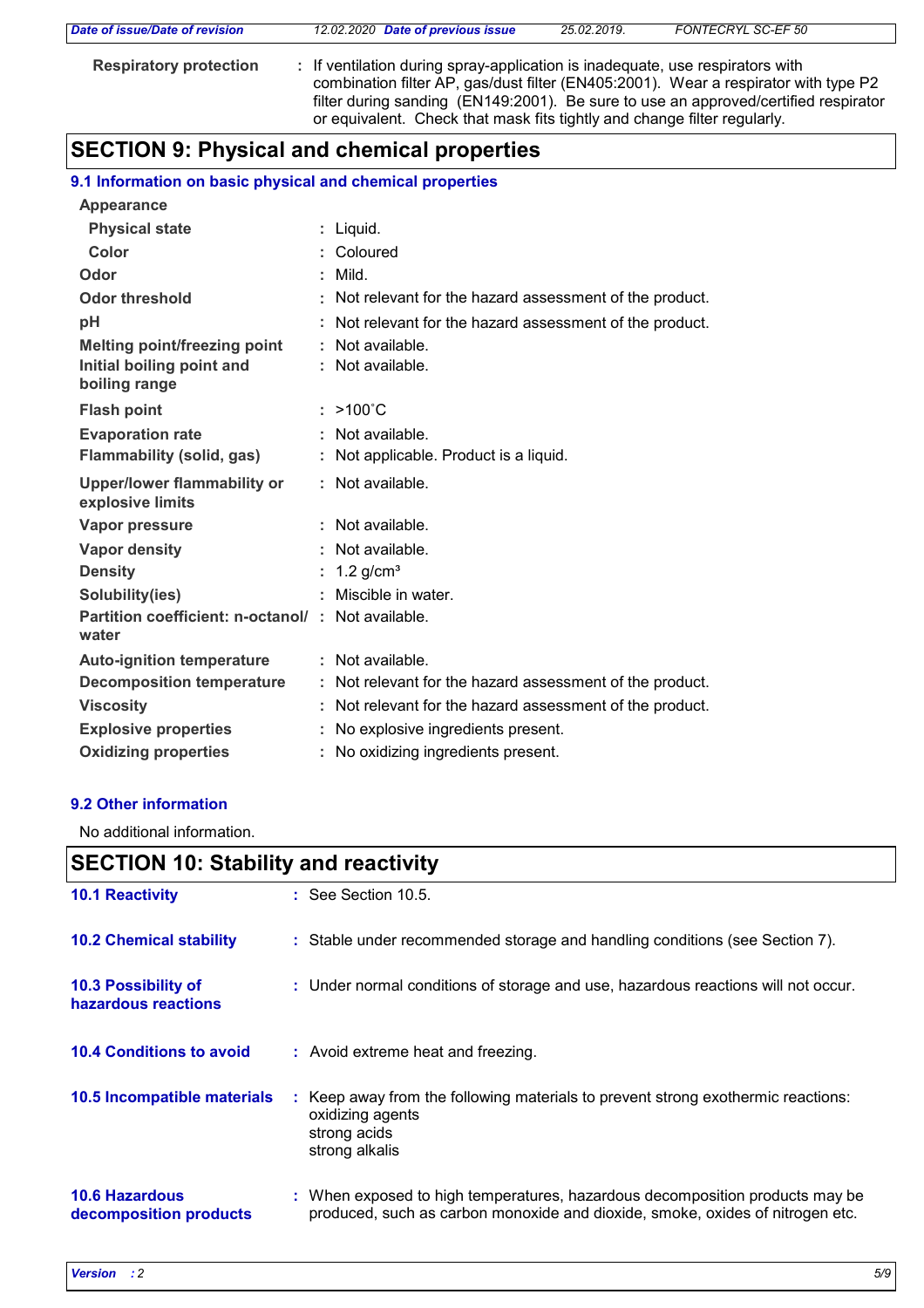| Date of issue/Date of revision | 12.02.2020 Date of previous issue                                                                                                                         | 25.02.2019. | FONTECRYL SC-EF 50                                                                                                                                                         |
|--------------------------------|-----------------------------------------------------------------------------------------------------------------------------------------------------------|-------------|----------------------------------------------------------------------------------------------------------------------------------------------------------------------------|
| <b>Respiratory protection</b>  | : If ventilation during spray-application is inadequate, use respirators with<br>or equivalent. Check that mask fits tightly and change filter regularly. |             | combination filter AP, gas/dust filter (EN405:2001). Wear a respirator with type P2<br>filter during sanding (EN149:2001). Be sure to use an approved/certified respirator |

# **SECTION 9: Physical and chemical properties**

## **9.1 Information on basic physical and chemical properties**

| <b>Appearance</b>                                          |                                                          |
|------------------------------------------------------------|----------------------------------------------------------|
| <b>Physical state</b>                                      | : Liquid.                                                |
| Color                                                      | : Coloured                                               |
| Odor                                                       | Mild.                                                    |
| <b>Odor threshold</b>                                      | Not relevant for the hazard assessment of the product.   |
| pH                                                         | Not relevant for the hazard assessment of the product.   |
| Melting point/freezing point                               | : Not available.                                         |
| Initial boiling point and<br>boiling range                 | : Not available.                                         |
| <b>Flash point</b>                                         | $: >100^{\circ}$ C                                       |
| <b>Evaporation rate</b>                                    | Not available.                                           |
| Flammability (solid, gas)                                  | : Not applicable. Product is a liquid.                   |
| <b>Upper/lower flammability or</b><br>explosive limits     | : Not available.                                         |
| Vapor pressure                                             | : Not available.                                         |
| <b>Vapor density</b>                                       | : Not available.                                         |
| <b>Density</b>                                             | : $1.2$ g/cm <sup>3</sup>                                |
| Solubility(ies)                                            | Miscible in water.                                       |
| Partition coefficient: n-octanol/: Not available.<br>water |                                                          |
| <b>Auto-ignition temperature</b>                           | : Not available.                                         |
| <b>Decomposition temperature</b>                           | : Not relevant for the hazard assessment of the product. |
| <b>Viscosity</b>                                           | : Not relevant for the hazard assessment of the product. |
| <b>Explosive properties</b>                                | : No explosive ingredients present.                      |
| <b>Oxidizing properties</b>                                | : No oxidizing ingredients present.                      |

## **9.2 Other information**

No additional information.

# **SECTION 10: Stability and reactivity**

| <b>10.1 Reactivity</b>                          | $\therefore$ See Section 10.5.                                                                                                                                |
|-------------------------------------------------|---------------------------------------------------------------------------------------------------------------------------------------------------------------|
| <b>10.2 Chemical stability</b>                  | : Stable under recommended storage and handling conditions (see Section 7).                                                                                   |
| 10.3 Possibility of<br>hazardous reactions      | : Under normal conditions of storage and use, hazardous reactions will not occur.                                                                             |
| <b>10.4 Conditions to avoid</b>                 | : Avoid extreme heat and freezing.                                                                                                                            |
| 10.5 Incompatible materials                     | : Keep away from the following materials to prevent strong exothermic reactions:<br>oxidizing agents<br>strong acids<br>strong alkalis                        |
| <b>10.6 Hazardous</b><br>decomposition products | : When exposed to high temperatures, hazardous decomposition products may be<br>produced, such as carbon monoxide and dioxide, smoke, oxides of nitrogen etc. |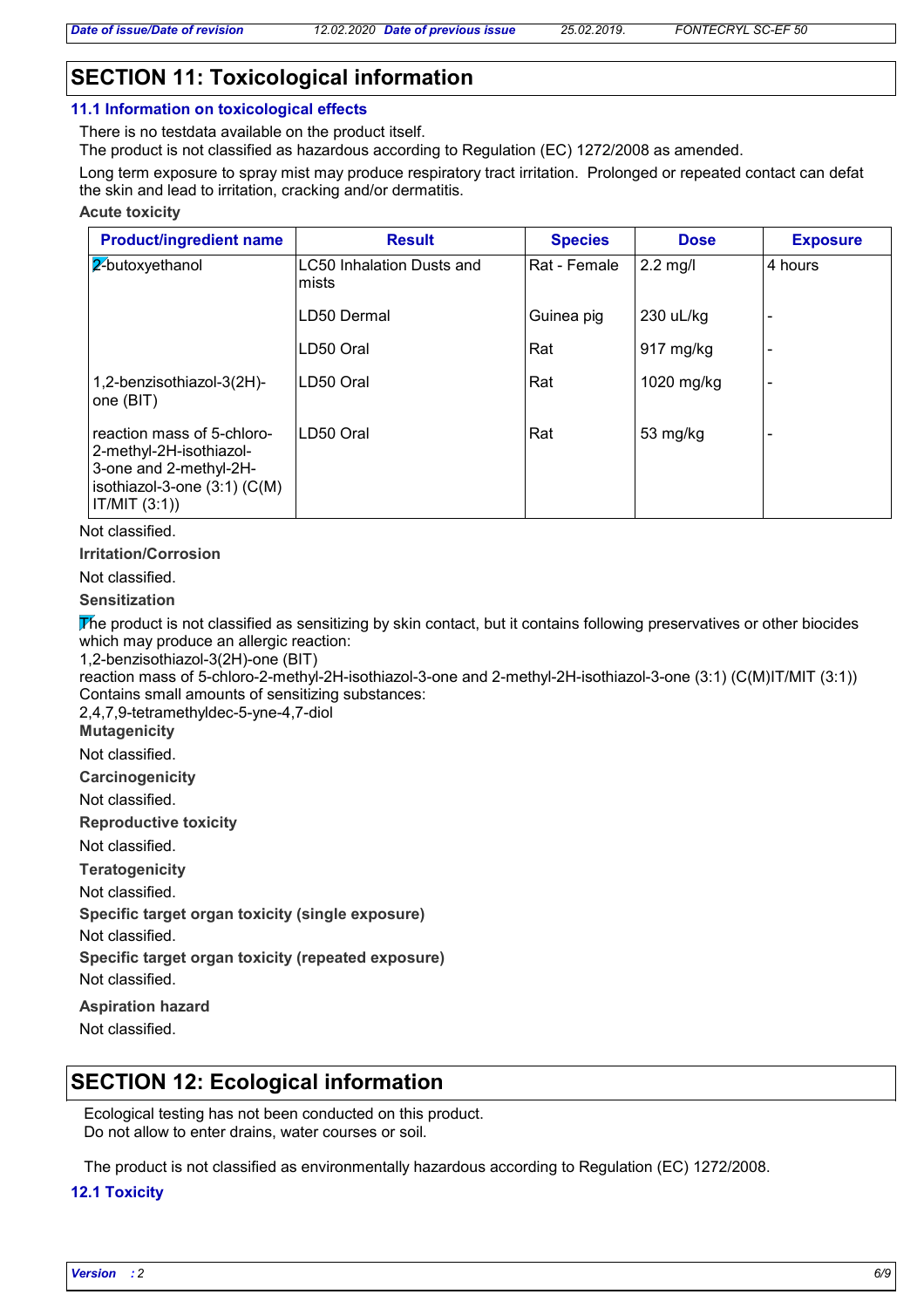# **SECTION 11: Toxicological information**

## **11.1 Information on toxicological effects**

There is no testdata available on the product itself. The product is not classified as hazardous according to Regulation (EC) 1272/2008 as amended.

Long term exposure to spray mist may produce respiratory tract irritation. Prolonged or repeated contact can defat the skin and lead to irritation, cracking and/or dermatitis.

### **Acute toxicity**

| <b>Product/ingredient name</b>                                                                                                                | <b>Result</b>                      | <b>Species</b> | <b>Dose</b>         | <b>Exposure</b>          |
|-----------------------------------------------------------------------------------------------------------------------------------------------|------------------------------------|----------------|---------------------|--------------------------|
| 2-butoxyethanol                                                                                                                               | LC50 Inhalation Dusts and<br>mists | Rat - Female   | $2.2$ mg/l          | 4 hours                  |
|                                                                                                                                               | LD50 Dermal                        | Guinea pig     | 230 uL/kg           |                          |
|                                                                                                                                               | LD50 Oral                          | Rat            | $917 \text{ mg/kg}$ |                          |
| 1,2-benzisothiazol-3(2H)-<br>one (BIT)                                                                                                        | LD50 Oral                          | Rat            | 1020 mg/kg          | $\overline{\phantom{0}}$ |
| reaction mass of 5-chloro-<br>2-methyl-2H-isothiazol-<br>3-one and 2-methyl-2H-<br>isothiazol-3-one $(3:1)$ $(C(M))$<br>$\vert$ IT/MIT (3:1)) | LD50 Oral                          | Rat            | 53 mg/kg            |                          |

Not classified.

**Irritation/Corrosion**

Not classified.

**Sensitization**

The product is not classified as sensitizing by skin contact, but it contains following preservatives or other biocides which may produce an allergic reaction:

1,2-benzisothiazol-3(2H)-one (BIT)

reaction mass of 5-chloro-2-methyl-2H-isothiazol-3-one and 2-methyl-2H-isothiazol-3-one (3:1) (C(M)IT/MIT (3:1)) Contains small amounts of sensitizing substances:

2,4,7,9-tetramethyldec-5-yne-4,7-diol

**Mutagenicity**

Not classified.

**Carcinogenicity**

Not classified.

**Reproductive toxicity**

Not classified.

**Teratogenicity**

Not classified.

**Specific target organ toxicity (single exposure)**

Not classified.

**Specific target organ toxicity (repeated exposure)**

Not classified.

**Aspiration hazard**

Not classified.

## **SECTION 12: Ecological information**

Ecological testing has not been conducted on this product. Do not allow to enter drains, water courses or soil.

The product is not classified as environmentally hazardous according to Regulation (EC) 1272/2008.

## **12.1 Toxicity**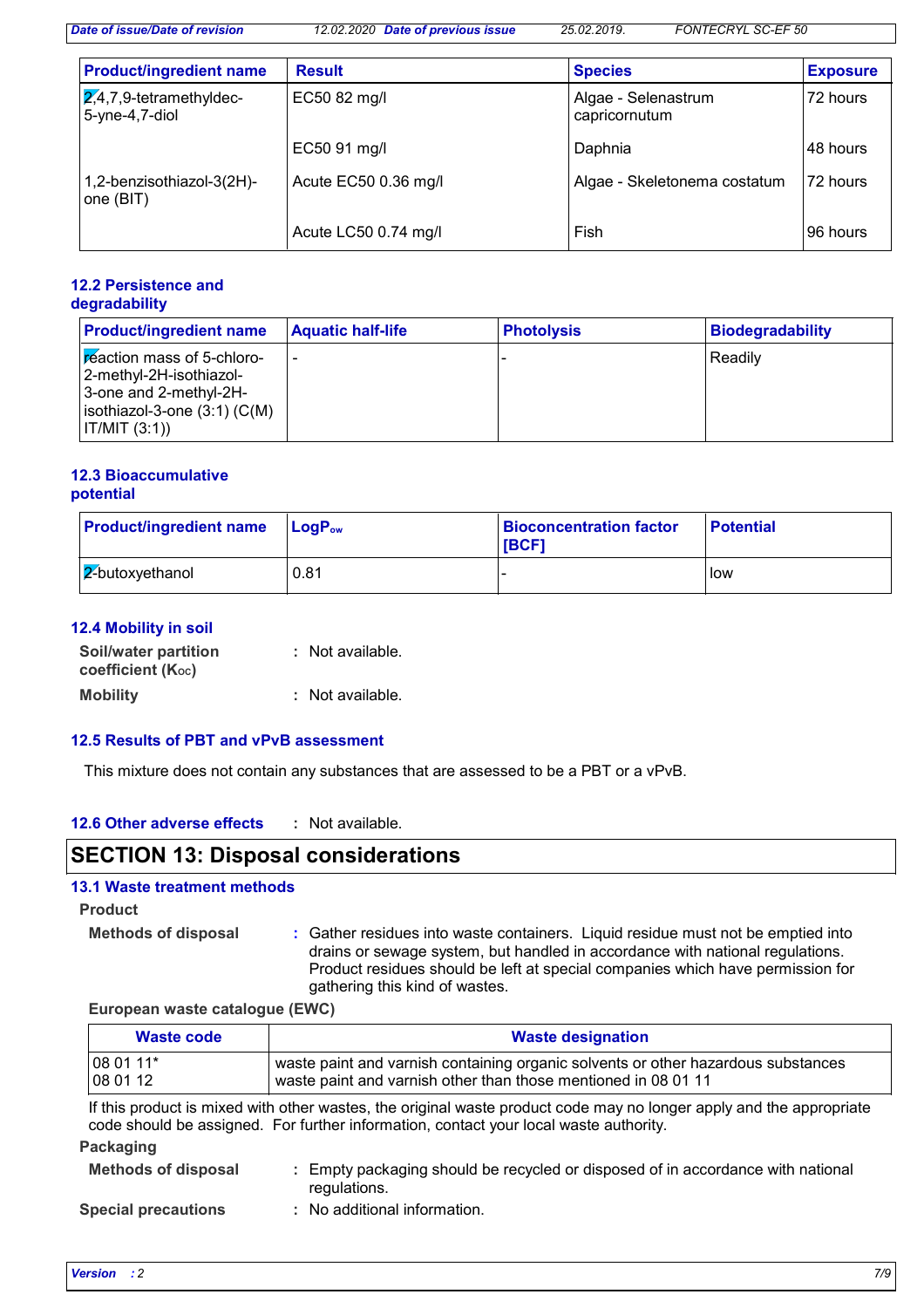*Date of issue/Date of revision 12.02.2020 Date of previous issue 25.02.2019. FONTECRYL SC-EF 50*

| <b>Product/ingredient name</b>                          | <b>Result</b>        | <b>Species</b>                       | <b>Exposure</b> |
|---------------------------------------------------------|----------------------|--------------------------------------|-----------------|
| $\overline{2,4}$ ,7,9-tetramethyldec-<br>5-yne-4,7-diol | EC50 82 mg/l         | Algae - Selenastrum<br>capricornutum | 72 hours        |
|                                                         | EC50 91 mg/l         | Daphnia                              | 48 hours        |
| 1,2-benzisothiazol-3(2H)-<br>one (BIT)                  | Acute EC50 0.36 mg/l | Algae - Skeletonema costatum         | 72 hours        |
|                                                         | Acute LC50 0.74 mg/l | Fish                                 | 96 hours        |

#### **12.2 Persistence and degradability**

| <b>Product/ingredient name</b>                                                                                                   | <b>Aquatic half-life</b> | <b>Photolysis</b> | <b>Biodegradability</b> |
|----------------------------------------------------------------------------------------------------------------------------------|--------------------------|-------------------|-------------------------|
| Freaction mass of 5-chloro-<br>2-methyl-2H-isothiazol-<br>3-one and 2-methyl-2H-<br>isothiazol-3-one (3:1) (C(M)<br> IT/MIT(3:1) |                          |                   | Readily                 |

## **12.3 Bioaccumulative potential**

| <b>Product/ingredient name</b> | $Loa Pow$ | <b>Bioconcentration factor</b><br><b>IBCF1</b> | <b>Potential</b> |
|--------------------------------|-----------|------------------------------------------------|------------------|
| $2$ -butoxyethanol             | 0.81      |                                                | low              |

## **12.4 Mobility in soil**

| Soil/water partition<br>coefficient (Koc) | : Not available. |
|-------------------------------------------|------------------|
| <b>Mobility</b>                           | : Not available. |

## **12.5 Results of PBT and vPvB assessment**

This mixture does not contain any substances that are assessed to be a PBT or a vPvB.

#### **12.6 Other adverse effects :**

# **SECTION 13: Disposal considerations**

## **13.1 Waste treatment methods**

**Product**

**Methods of disposal :**

Gather residues into waste containers. Liquid residue must not be emptied into drains or sewage system, but handled in accordance with national regulations. Product residues should be left at special companies which have permission for gathering this kind of wastes.

**European waste catalogue (EWC)**

| Waste code                                                                                                          | <b>Waste designation</b>                                                                                                                            |
|---------------------------------------------------------------------------------------------------------------------|-----------------------------------------------------------------------------------------------------------------------------------------------------|
| $1080111*$<br>$ 080112\rangle$                                                                                      | waste paint and varnish containing organic solvents or other hazardous substances<br>waste paint and varnish other than those mentioned in 08 01 11 |
| If this product is mixed with other wastes, the original waste product code may no longer apply and the appropriate |                                                                                                                                                     |

code should be assigned. For further information, contact your local waste authority.

| Packaging                  |                                                                                                 |
|----------------------------|-------------------------------------------------------------------------------------------------|
| <b>Methods of disposal</b> | : Empty packaging should be recycled or disposed of in accordance with national<br>regulations. |
| <b>Special precautions</b> | : No additional information.                                                                    |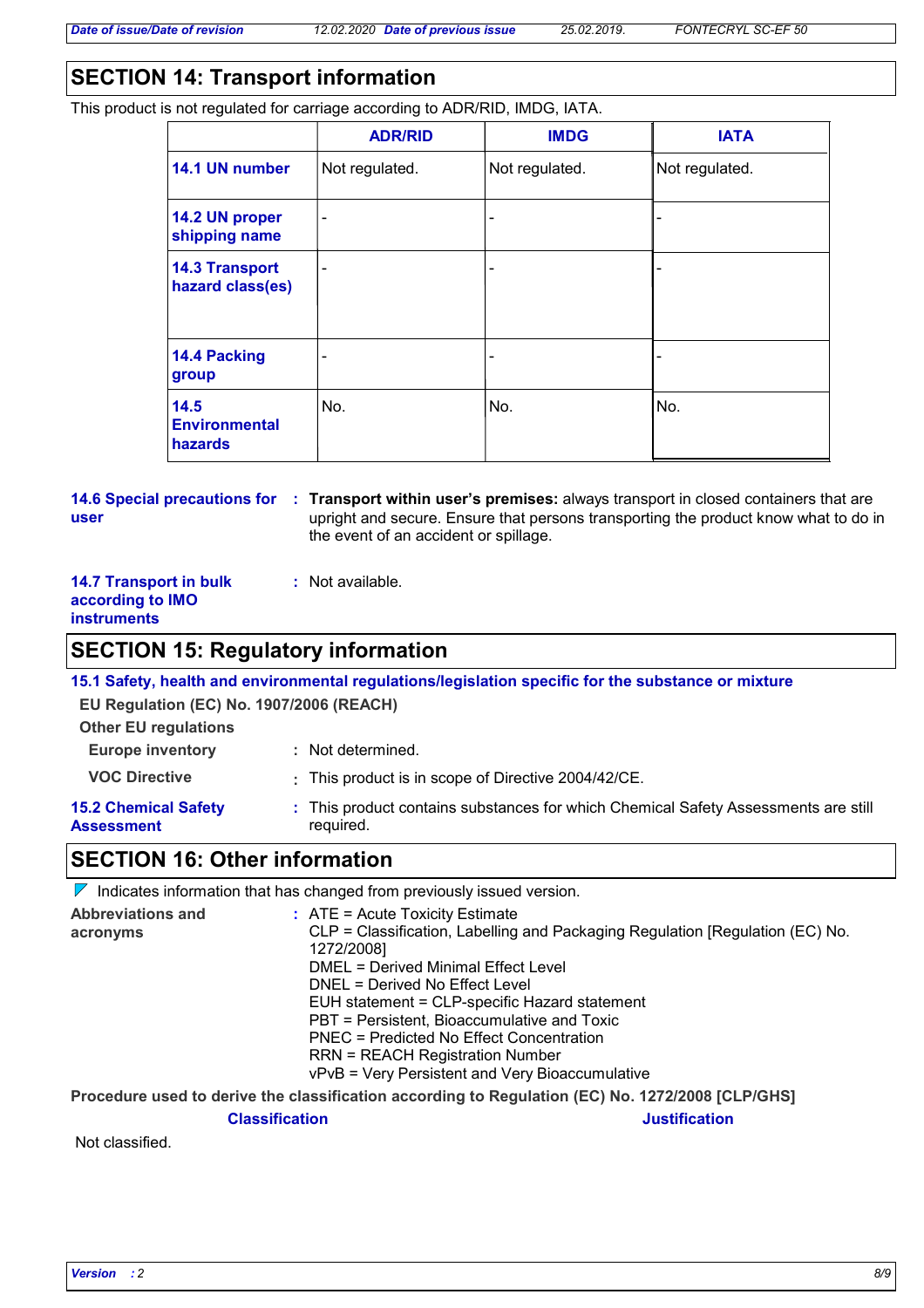# **SECTION 14: Transport information**

This product is not regulated for carriage according to ADR/RID, IMDG, IATA.

|                                                | <b>ADR/RID</b>               | <b>IMDG</b>    | <b>IATA</b>    |
|------------------------------------------------|------------------------------|----------------|----------------|
| 14.1 UN number                                 | Not regulated.               | Not regulated. | Not regulated. |
| 14.2 UN proper<br>shipping name                | $\qquad \qquad \blacksquare$ | -              |                |
| <b>14.3 Transport</b><br>hazard class(es)      | $\qquad \qquad \blacksquare$ | -              |                |
| 14.4 Packing<br>group                          |                              | -              |                |
| 14.5<br><b>Environmental</b><br><b>hazards</b> | No.                          | No.            | No.            |

#### **14.6 Special precautions for : Transport within user's premises: always transport in closed containers that are user** upright and secure. Ensure that persons transporting the product know what to do in the event of an accident or spillage.

### **14.7 Transport in bulk according to IMO instruments**

## **:** Not available.

# **SECTION 15: Regulatory information**

**15.1 Safety, health and environmental regulations/legislation specific for the substance or mixture**

**EU Regulation (EC) No. 1907/2006 (REACH)**

| <b>Europe inventory</b>                   | : Not determined.                                                                               |
|-------------------------------------------|-------------------------------------------------------------------------------------------------|
| <b>VOC Directive</b>                      | : This product is in scope of Directive 2004/42/CE.                                             |
| <b>15.2 Chemical Safety</b><br>Assessment | : This product contains substances for which Chemical Safety Assessments are still<br>required. |

## **SECTION 16: Other information**

|                                      | $\nabla$ Indicates information that has changed from previously issued version.                                                                                                                                                                                                                                                                                                                                                                    |
|--------------------------------------|----------------------------------------------------------------------------------------------------------------------------------------------------------------------------------------------------------------------------------------------------------------------------------------------------------------------------------------------------------------------------------------------------------------------------------------------------|
| <b>Abbreviations and</b><br>acronyms | $:$ ATE = Acute Toxicity Estimate<br>CLP = Classification, Labelling and Packaging Regulation [Regulation (EC) No.<br>1272/2008]<br>DMEL = Derived Minimal Effect Level<br>DNEL = Derived No Effect Level<br>EUH statement = CLP-specific Hazard statement<br>PBT = Persistent, Bioaccumulative and Toxic<br>PNEC = Predicted No Effect Concentration<br><b>RRN = REACH Registration Number</b><br>vPvB = Very Persistent and Very Bioaccumulative |
|                                      |                                                                                                                                                                                                                                                                                                                                                                                                                                                    |

**Procedure used to derive the classification according to Regulation (EC) No. 1272/2008 [CLP/GHS]**

**Classification Justification**

Not classified.